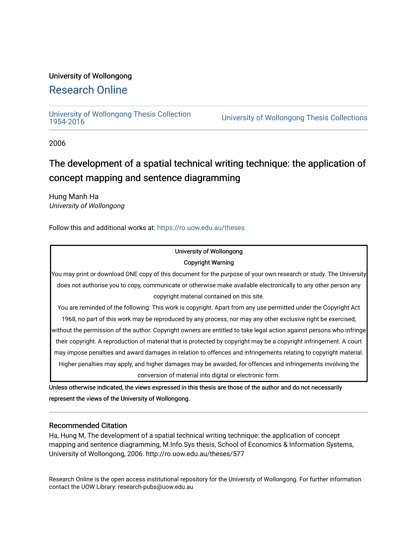#### University of Wollongong

### [Research Online](https://ro.uow.edu.au/)

# [University of Wollongong Thesis Collection](https://ro.uow.edu.au/theses)

University of Wollongong Thesis Collections

2006

## The development of a spatial technical writing technique: the application of concept mapping and sentence diagramming

Hung Manh Ha University of Wollongong

Follow this and additional works at: [https://ro.uow.edu.au/theses](https://ro.uow.edu.au/theses?utm_source=ro.uow.edu.au%2Ftheses%2F577&utm_medium=PDF&utm_campaign=PDFCoverPages)

#### University of Wollongong Copyright Warning

You may print or download ONE copy of this document for the purpose of your own research or study. The University does not authorise you to copy, communicate or otherwise make available electronically to any other person any copyright material contained on this site.

You are reminded of the following: This work is copyright. Apart from any use permitted under the Copyright Act 1968, no part of this work may be reproduced by any process, nor may any other exclusive right be exercised,

without the permission of the author. Copyright owners are entitled to take legal action against persons who infringe their copyright. A reproduction of material that is protected by copyright may be a copyright infringement. A court may impose penalties and award damages in relation to offences and infringements relating to copyright material. Higher penalties may apply, and higher damages may be awarded, for offences and infringements involving the conversion of material into digital or electronic form.

Unless otherwise indicated, the views expressed in this thesis are those of the author and do not necessarily represent the views of the University of Wollongong.

#### Recommended Citation

Ha, Hung M, The development of a spatial technical writing technique: the application of concept mapping and sentence diagramming, M.Info.Sys thesis, School of Economics & Information Systems, University of Wollongong, 2006. http://ro.uow.edu.au/theses/577

Research Online is the open access institutional repository for the University of Wollongong. For further information contact the UOW Library: research-pubs@uow.edu.au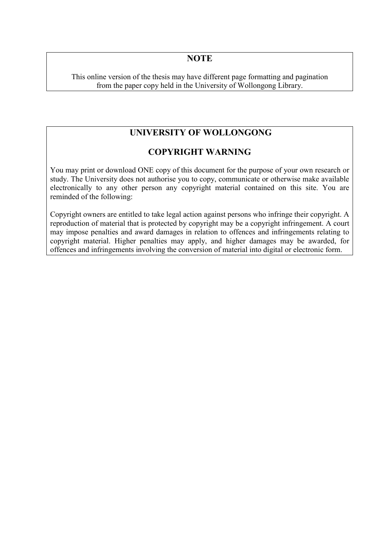#### **NOTE**

This online version of the thesis may have different page formatting and pagination from the paper copy held in the University of Wollongong Library.

#### **UNIVERSITY OF WOLLONGONG**

#### **COPYRIGHT WARNING**

You may print or download ONE copy of this document for the purpose of your own research or study. The University does not authorise you to copy, communicate or otherwise make available electronically to any other person any copyright material contained on this site. You are reminded of the following:

Copyright owners are entitled to take legal action against persons who infringe their copyright. A reproduction of material that is protected by copyright may be a copyright infringement. A court may impose penalties and award damages in relation to offences and infringements relating to copyright material. Higher penalties may apply, and higher damages may be awarded, for offences and infringements involving the conversion of material into digital or electronic form.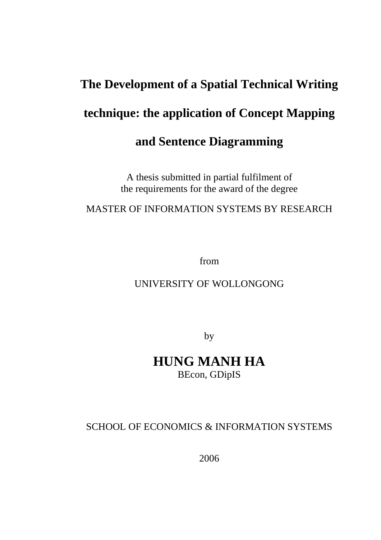# **The Development of a Spatial Technical Writing technique: the application of Concept Mapping and Sentence Diagramming**

A thesis submitted in partial fulfilment of the requirements for the award of the degree

MASTER OF INFORMATION SYSTEMS BY RESEARCH

from

## UNIVERSITY OF WOLLONGONG

by

## **HUNG MANH HA**  BEcon, GDipIS

## SCHOOL OF ECONOMICS & INFORMATION SYSTEMS

2006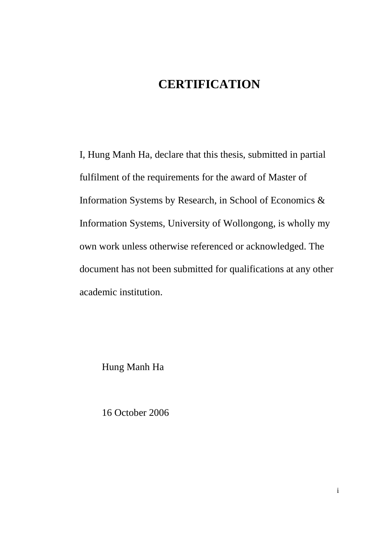## **CERTIFICATION**

I, Hung Manh Ha, declare that this thesis, submitted in partial fulfilment of the requirements for the award of Master of Information Systems by Research, in School of Economics & Information Systems, University of Wollongong, is wholly my own work unless otherwise referenced or acknowledged. The document has not been submitted for qualifications at any other academic institution.

Hung Manh Ha

16 October 2006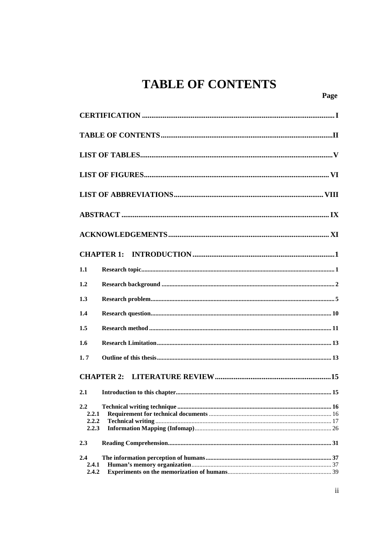# **TABLE OF CONTENTS**

| 1.1                            |
|--------------------------------|
| 1.2                            |
| 1.3                            |
| 1.4                            |
| 1.5                            |
| 1.6                            |
| 1.7                            |
|                                |
| 2.1                            |
| 2.2<br>2.2.1<br>2.2.2<br>2.2.3 |
| 2.3                            |
| 2.4<br>2.4.1<br>2.4.2          |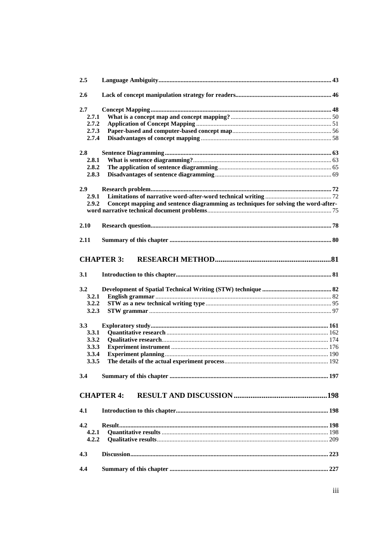| 2.5   |                                                                                    |  |
|-------|------------------------------------------------------------------------------------|--|
| 2.6   |                                                                                    |  |
| 2.7   |                                                                                    |  |
| 2.7.1 |                                                                                    |  |
| 2.7.2 |                                                                                    |  |
| 2.7.3 |                                                                                    |  |
| 2.7.4 |                                                                                    |  |
| 2.8   |                                                                                    |  |
| 2.8.1 |                                                                                    |  |
| 2.8.2 |                                                                                    |  |
| 2.8.3 |                                                                                    |  |
| 2.9   |                                                                                    |  |
| 2.9.1 |                                                                                    |  |
| 2.9.2 | Concept mapping and sentence diagramming as techniques for solving the word-after- |  |
|       |                                                                                    |  |
|       |                                                                                    |  |
| 2.10  |                                                                                    |  |
|       |                                                                                    |  |
| 2.11  |                                                                                    |  |
|       | <b>CHAPTER 3:</b>                                                                  |  |
|       |                                                                                    |  |
| 3.1   |                                                                                    |  |
| 3.2   |                                                                                    |  |
| 3.2.1 |                                                                                    |  |
| 3.2.2 |                                                                                    |  |
| 3.2.3 |                                                                                    |  |
| 3.3   |                                                                                    |  |
| 3.3.1 |                                                                                    |  |
| 3.3.2 |                                                                                    |  |
| 3.3.3 |                                                                                    |  |
| 3.3.4 |                                                                                    |  |
| 3.3.5 |                                                                                    |  |
|       |                                                                                    |  |
| 3.4   |                                                                                    |  |
|       |                                                                                    |  |
|       | <b>CHAPTER 4:</b>                                                                  |  |
| 4.1   |                                                                                    |  |
|       |                                                                                    |  |
| 4.2   |                                                                                    |  |
| 4.2.1 |                                                                                    |  |
| 4.2.2 |                                                                                    |  |
| 4.3   |                                                                                    |  |
|       |                                                                                    |  |
| 4.4   |                                                                                    |  |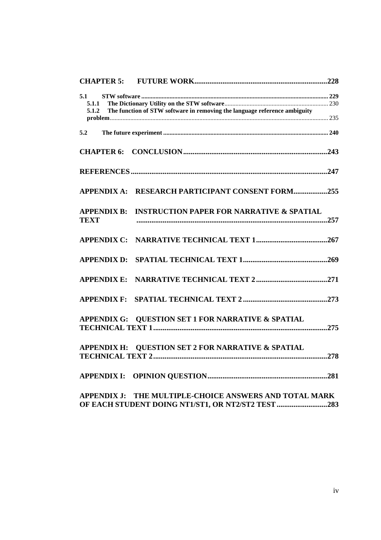| 5.1                |                                                                           |  |
|--------------------|---------------------------------------------------------------------------|--|
| 5.1.1              |                                                                           |  |
| 5.1.2              | The function of STW software in removing the language reference ambiguity |  |
|                    |                                                                           |  |
| 5.2                |                                                                           |  |
|                    |                                                                           |  |
|                    |                                                                           |  |
|                    |                                                                           |  |
|                    |                                                                           |  |
|                    | APPENDIX A: RESEARCH PARTICIPANT CONSENT FORM255                          |  |
| <b>APPENDIX B:</b> | <b>INSTRUCTION PAPER FOR NARRATIVE &amp; SPATIAL</b>                      |  |
| <b>TEXT</b>        |                                                                           |  |
|                    |                                                                           |  |
|                    |                                                                           |  |
|                    |                                                                           |  |
| <b>APPENDIX D:</b> |                                                                           |  |
| <b>APPENDIX E:</b> |                                                                           |  |
|                    |                                                                           |  |
| <b>APPENDIX F:</b> |                                                                           |  |
|                    |                                                                           |  |
|                    | APPENDIX G: QUESTION SET 1 FOR NARRATIVE & SPATIAL                        |  |
|                    |                                                                           |  |
| <b>APPENDIX H:</b> | <b>QUESTION SET 2 FOR NARRATIVE &amp; SPATIAL</b>                         |  |
|                    |                                                                           |  |
| <b>APPENDIX I:</b> |                                                                           |  |
|                    |                                                                           |  |
| <b>APPENDIX J:</b> | THE MULTIPLE-CHOICE ANSWERS AND TOTAL MARK                                |  |
|                    |                                                                           |  |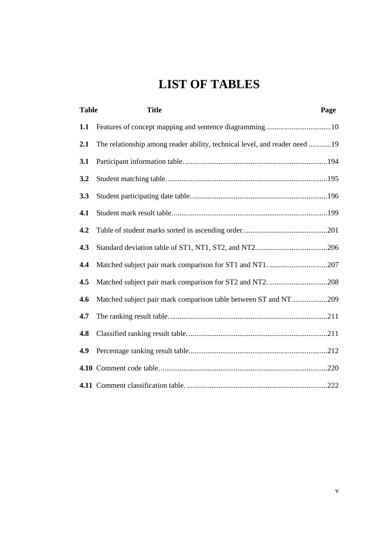# **LIST OF TABLES**

| <b>Table</b> | <b>Title</b>                                                               | Page |
|--------------|----------------------------------------------------------------------------|------|
| 1.1          |                                                                            |      |
| 2.1          | The relationship among reader ability, technical level, and reader need 19 |      |
| 3.1          |                                                                            |      |
| 3.2          |                                                                            |      |
| 3.3          |                                                                            |      |
| 4.1          |                                                                            |      |
| 4.2          |                                                                            |      |
| 4.3          |                                                                            |      |
| 4.4          |                                                                            |      |
| 4.5          |                                                                            |      |
| 4.6          | Matched subject pair mark comparison table between ST and NT209            |      |
| 4.7          |                                                                            |      |
| 4.8          |                                                                            |      |
| 4.9          |                                                                            |      |
|              |                                                                            |      |
|              |                                                                            |      |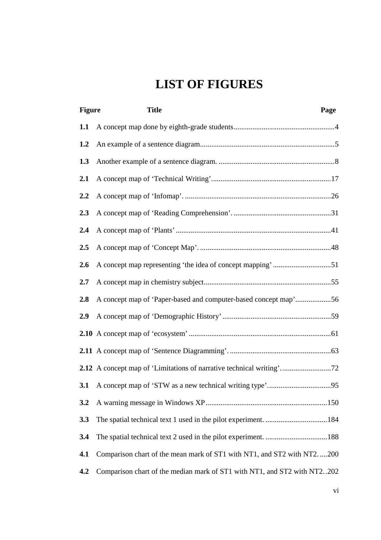# **LIST OF FIGURES**

| <b>Figure</b> | <b>Title</b><br>Page                                                     |
|---------------|--------------------------------------------------------------------------|
| 1.1           |                                                                          |
| 1.2           |                                                                          |
| 1.3           |                                                                          |
| 2.1           |                                                                          |
| 2.2           |                                                                          |
| 2.3           |                                                                          |
| 2.4           |                                                                          |
| 2.5           |                                                                          |
| 2.6           |                                                                          |
| 2.7           |                                                                          |
| 2.8           | A concept map of 'Paper-based and computer-based concept map'56          |
| 2.9           |                                                                          |
|               |                                                                          |
|               |                                                                          |
|               | 2.12 A concept map of 'Limitations of narrative technical writing'72     |
| 3.1           |                                                                          |
| 3.2           |                                                                          |
| 3.3           |                                                                          |
| 3.4           |                                                                          |
| 4.1           | Comparison chart of the mean mark of ST1 with NT1, and ST2 with NT2200   |
| 4.2           | Comparison chart of the median mark of ST1 with NT1, and ST2 with NT2202 |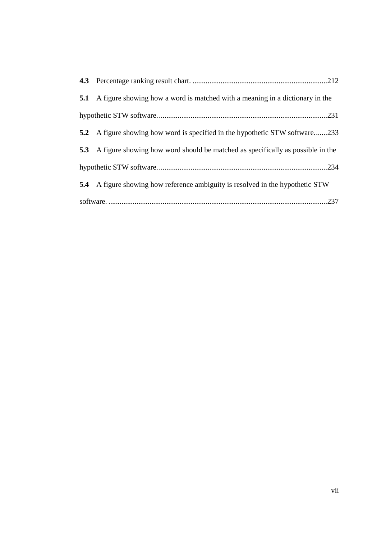| 5.1 A figure showing how a word is matched with a meaning in a dictionary in the   |
|------------------------------------------------------------------------------------|
|                                                                                    |
| 5.2 A figure showing how word is specified in the hypothetic STW software233       |
| 5.3 A figure showing how word should be matched as specifically as possible in the |
|                                                                                    |
| 5.4 A figure showing how reference ambiguity is resolved in the hypothetic STW     |
|                                                                                    |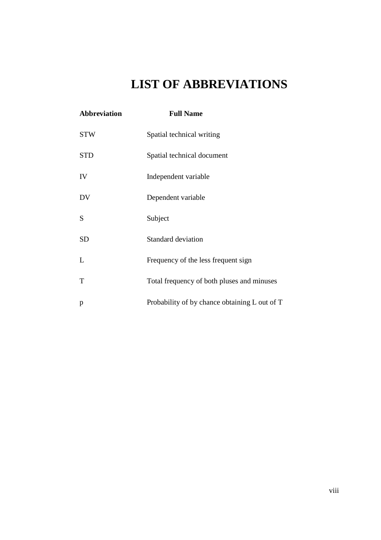# **LIST OF ABBREVIATIONS**

| <b>Abbreviation</b> | <b>Full Name</b>                              |
|---------------------|-----------------------------------------------|
| <b>STW</b>          | Spatial technical writing                     |
| <b>STD</b>          | Spatial technical document                    |
| IV                  | Independent variable                          |
| DV                  | Dependent variable                            |
| S                   | Subject                                       |
| <b>SD</b>           | Standard deviation                            |
| L                   | Frequency of the less frequent sign           |
| T                   | Total frequency of both pluses and minuses    |
| p                   | Probability of by chance obtaining L out of T |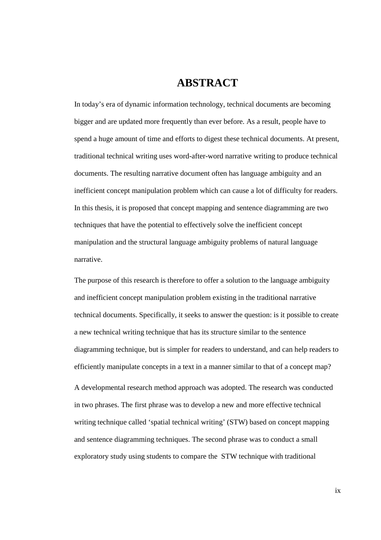### **ABSTRACT**

In today's era of dynamic information technology, technical documents are becoming bigger and are updated more frequently than ever before. As a result, people have to spend a huge amount of time and efforts to digest these technical documents. At present, traditional technical writing uses word-after-word narrative writing to produce technical documents. The resulting narrative document often has language ambiguity and an inefficient concept manipulation problem which can cause a lot of difficulty for readers. In this thesis, it is proposed that concept mapping and sentence diagramming are two techniques that have the potential to effectively solve the inefficient concept manipulation and the structural language ambiguity problems of natural language narrative.

The purpose of this research is therefore to offer a solution to the language ambiguity and inefficient concept manipulation problem existing in the traditional narrative technical documents. Specifically, it seeks to answer the question: is it possible to create a new technical writing technique that has its structure similar to the sentence diagramming technique, but is simpler for readers to understand, and can help readers to efficiently manipulate concepts in a text in a manner similar to that of a concept map? A developmental research method approach was adopted. The research was conducted in two phrases. The first phrase was to develop a new and more effective technical writing technique called 'spatial technical writing' (STW) based on concept mapping and sentence diagramming techniques. The second phrase was to conduct a small exploratory study using students to compare the STW technique with traditional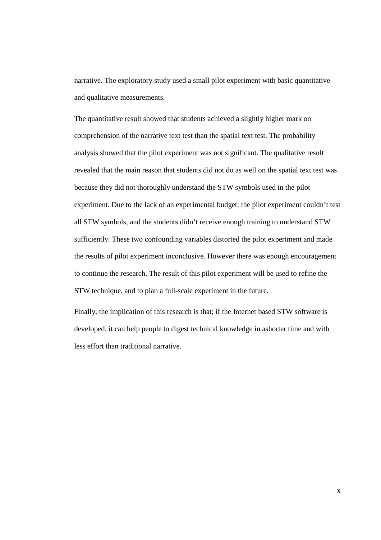narrative. The exploratory study used a small pilot experiment with basic quantitative and qualitative measurements.

The quantitative result showed that students achieved a slightly higher mark on comprehension of the narrative text test than the spatial text test. The probability analysis showed that the pilot experiment was not significant. The qualitative result revealed that the main reason that students did not do as well on the spatial text test was because they did not thoroughly understand the STW symbols used in the pilot experiment. Due to the lack of an experimental budget; the pilot experiment couldn't test all STW symbols, and the students didn't receive enough training to understand STW sufficiently. These two confounding variables distorted the pilot experiment and made the results of pilot experiment inconclusive. However there was enough encouragement to continue the research. The result of this pilot experiment will be used to refine the STW technique, and to plan a full-scale experiment in the future.

Finally, the implication of this research is that; if the Internet based STW software is developed, it can help people to digest technical knowledge in ashorter time and with less effort than traditional narrative.